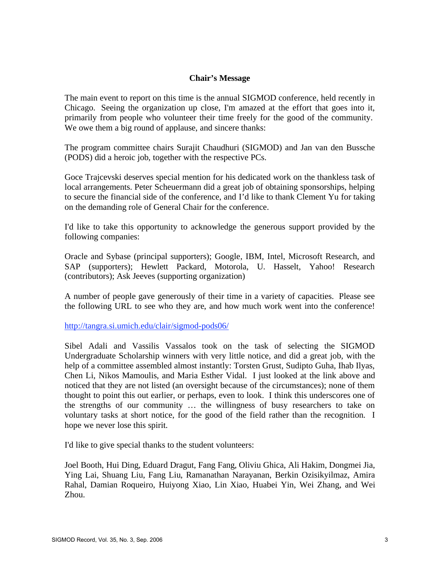## **Chair's Message**

The main event to report on this time is the annual SIGMOD conference, held recently in Chicago. Seeing the organization up close, I'm amazed at the effort that goes into it, primarily from people who volunteer their time freely for the good of the community. We owe them a big round of applause, and sincere thanks:

The program committee chairs Surajit Chaudhuri (SIGMOD) and Jan van den Bussche (PODS) did a heroic job, together with the respective PCs.

Goce Trajcevski deserves special mention for his dedicated work on the thankless task of local arrangements. Peter Scheuermann did a great job of obtaining sponsorships, helping to secure the financial side of the conference, and I'd like to thank Clement Yu for taking on the demanding role of General Chair for the conference.

I'd like to take this opportunity to acknowledge the generous support provided by the following companies:

Oracle and Sybase (principal supporters); Google, IBM, Intel, Microsoft Research, and SAP (supporters); Hewlett Packard, Motorola, U. Hasselt, Yahoo! Research (contributors); Ask Jeeves (supporting organization)

A number of people gave generously of their time in a variety of capacities. Please see the following URL to see who they are, and how much work went into the conference!

http://tangra.si.umich.edu/clair/sigmod-pods06/

Sibel Adali and Vassilis Vassalos took on the task of selecting the SIGMOD Undergraduate Scholarship winners with very little notice, and did a great job, with the help of a committee assembled almost instantly: Torsten Grust, Sudipto Guha, Ihab Ilyas, Chen Li, Nikos Mamoulis, and Maria Esther Vidal. I just looked at the link above and noticed that they are not listed (an oversight because of the circumstances); none of them thought to point this out earlier, or perhaps, even to look. I think this underscores one of the strengths of our community … the willingness of busy researchers to take on voluntary tasks at short notice, for the good of the field rather than the recognition. I hope we never lose this spirit.

I'd like to give special thanks to the student volunteers:

Joel Booth, Hui Ding, Eduard Dragut, Fang Fang, Oliviu Ghica, Ali Hakim, Dongmei Jia, Ying Lai, Shuang Liu, Fang Liu, Ramanathan Narayanan, Berkin Ozisikyilmaz, Amira Rahal, Damian Roqueiro, Huiyong Xiao, Lin Xiao, Huabei Yin, Wei Zhang, and Wei Zhou.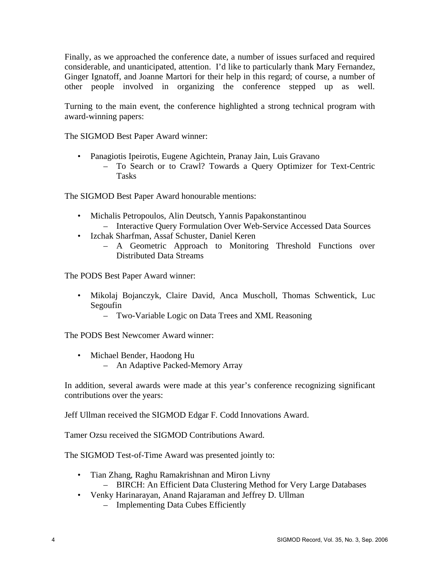Finally, as we approached the conference date, a number of issues surfaced and required considerable, and unanticipated, attention. I'd like to particularly thank Mary Fernandez, Ginger Ignatoff, and Joanne Martori for their help in this regard; of course, a number of other people involved in organizing the conference stepped up as well.

Turning to the main event, the conference highlighted a strong technical program with award-winning papers:

The SIGMOD Best Paper Award winner:

- Panagiotis Ipeirotis, Eugene Agichtein, Pranay Jain, Luis Gravano
	- To Search or to Crawl? Towards a Query Optimizer for Text-Centric Tasks

The SIGMOD Best Paper Award honourable mentions:

- Michalis Petropoulos, Alin Deutsch, Yannis Papakonstantinou
	- Interactive Query Formulation Over Web-Service Accessed Data Sources
- Izchak Sharfman, Assaf Schuster, Daniel Keren
	- A Geometric Approach to Monitoring Threshold Functions over Distributed Data Streams

The PODS Best Paper Award winner:

- Mikolaj Bojanczyk, Claire David, Anca Muscholl, Thomas Schwentick, Luc Segoufin
	- Two-Variable Logic on Data Trees and XML Reasoning

The PODS Best Newcomer Award winner:

• Michael Bender, Haodong Hu – An Adaptive Packed-Memory Array

In addition, several awards were made at this year's conference recognizing significant contributions over the years:

Jeff Ullman received the SIGMOD Edgar F. Codd Innovations Award.

Tamer Ozsu received the SIGMOD Contributions Award.

The SIGMOD Test-of-Time Award was presented jointly to:

- Tian Zhang, Raghu Ramakrishnan and Miron Livny – BIRCH: An Efficient Data Clustering Method for Very Large Databases
- Venky Harinarayan, Anand Rajaraman and Jeffrey D. Ullman – Implementing Data Cubes Efficiently